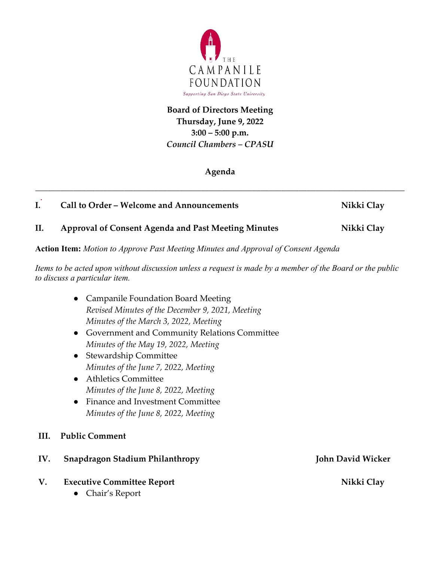

## **Board of Directors Meeting Thursday, June 9, 2022 3:00 – 5:00 p.m.** *Council Chambers – CPASU*

## **Agenda**

*\_\_\_\_\_\_\_\_\_\_\_\_\_\_\_\_\_\_\_\_\_\_\_\_\_\_\_\_\_\_\_\_\_\_\_\_\_\_\_\_\_\_\_\_\_\_\_\_\_\_\_\_\_\_\_\_\_\_\_\_\_\_\_\_\_\_\_\_\_\_\_\_\_\_\_\_\_\_\_\_\_\_\_\_\_\_\_*

## **I. Call to Order – Welcome and Announcements** Nikki Clay

## **II. Approval of Consent Agenda and Past Meeting Minutes Mikki Clay**

**Action Item:** *Motion to Approve Past Meeting Minutes and Approval of Consent Agenda*

*Items to be acted upon without discussion unless a request is made by a member of the Board or the public to discuss a particular item.*

- Campanile Foundation Board Meeting *Revised Minutes of the December 9, 2021, Meeting Minutes of the March 3, 2022, Meeting*
- Government and Community Relations Committee *Minutes of the May 19, 2022, Meeting*
- Stewardship Committee *Minutes of the June 7, 2022, Meeting*
- Athletics Committee *Minutes of the June 8, 2022, Meeting*
- Finance and Investment Committee *Minutes of the June 8, 2022, Meeting*
- **III. Public Comment**
- **IV.** Snapdragon Stadium Philanthropy **John David Wicker**
- V. **Executive Committee Report** Nikki Clay
	- Chair's Report